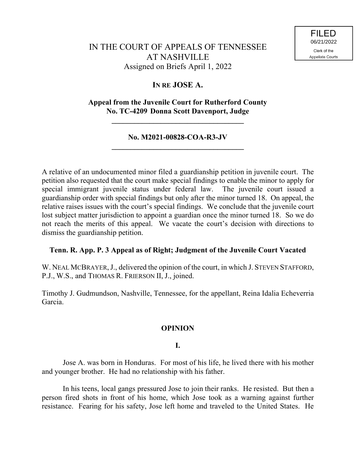# IN THE COURT OF APPEALS OF TENNESSEE AT NASHVILLE Assigned on Briefs April 1, 2022

## **IN RE JOSE A.**

### **Appeal from the Juvenile Court for Rutherford County No. TC-4209 Donna Scott Davenport, Judge**

**\_\_\_\_\_\_\_\_\_\_\_\_\_\_\_\_\_\_\_\_\_\_\_\_\_\_\_\_\_\_\_\_\_\_\_**

### **No. M2021-00828-COA-R3-JV \_\_\_\_\_\_\_\_\_\_\_\_\_\_\_\_\_\_\_\_\_\_\_\_\_\_\_\_\_\_\_\_\_\_\_**

A relative of an undocumented minor filed a guardianship petition in juvenile court. The petition also requested that the court make special findings to enable the minor to apply for special immigrant juvenile status under federal law. The juvenile court issued a guardianship order with special findings but only after the minor turned 18. On appeal, the relative raises issues with the court's special findings. We conclude that the juvenile court lost subject matter jurisdiction to appoint a guardian once the minor turned 18. So we do not reach the merits of this appeal. We vacate the court's decision with directions to dismiss the guardianship petition.

### **Tenn. R. App. P. 3 Appeal as of Right; Judgment of the Juvenile Court Vacated**

W. NEAL MCBRAYER, J., delivered the opinion of the court, in which J. STEVEN STAFFORD, P.J., W.S., and THOMAS R. FRIERSON II, J., joined.

Timothy J. Gudmundson, Nashville, Tennessee, for the appellant, Reina Idalia Echeverria Garcia.

## **OPINION**

### **I.**

Jose A. was born in Honduras. For most of his life, he lived there with his mother and younger brother. He had no relationship with his father.

In his teens, local gangs pressured Jose to join their ranks. He resisted. But then a person fired shots in front of his home, which Jose took as a warning against further resistance. Fearing for his safety, Jose left home and traveled to the United States. He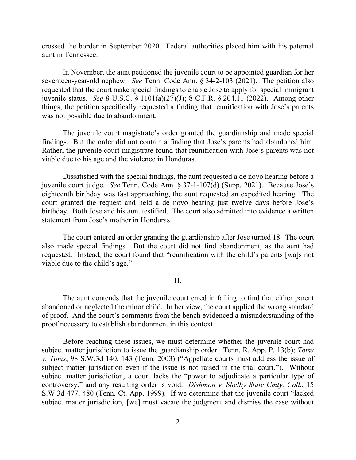crossed the border in September 2020. Federal authorities placed him with his paternal aunt in Tennessee.

In November, the aunt petitioned the juvenile court to be appointed guardian for her seventeen-year-old nephew. *See* Tenn. Code Ann. § 34-2-103 (2021). The petition also requested that the court make special findings to enable Jose to apply for special immigrant juvenile status. *See* 8 U.S.C. § 1101(a)(27)(J); 8 C.F.R. § 204.11 (2022). Among other things, the petition specifically requested a finding that reunification with Jose's parents was not possible due to abandonment.

The juvenile court magistrate's order granted the guardianship and made special findings. But the order did not contain a finding that Jose's parents had abandoned him. Rather, the juvenile court magistrate found that reunification with Jose's parents was not viable due to his age and the violence in Honduras.

Dissatisfied with the special findings, the aunt requested a de novo hearing before a juvenile court judge. *See* Tenn. Code Ann. § 37-1-107(d) (Supp. 2021). Because Jose's eighteenth birthday was fast approaching, the aunt requested an expedited hearing. The court granted the request and held a de novo hearing just twelve days before Jose's birthday. Both Jose and his aunt testified. The court also admitted into evidence a written statement from Jose's mother in Honduras.

The court entered an order granting the guardianship after Jose turned 18. The court also made special findings. But the court did not find abandonment, as the aunt had requested. Instead, the court found that "reunification with the child's parents [wa]s not viable due to the child's age."

#### **II.**

The aunt contends that the juvenile court erred in failing to find that either parent abandoned or neglected the minor child. In her view, the court applied the wrong standard of proof. And the court's comments from the bench evidenced a misunderstanding of the proof necessary to establish abandonment in this context.

Before reaching these issues, we must determine whether the juvenile court had subject matter jurisdiction to issue the guardianship order. Tenn. R. App. P. 13(b); *Toms v. Toms*, 98 S.W.3d 140, 143 (Tenn. 2003) ("Appellate courts must address the issue of subject matter jurisdiction even if the issue is not raised in the trial court."). Without subject matter jurisdiction, a court lacks the "power to adjudicate a particular type of controversy," and any resulting order is void. *Dishmon v. Shelby State Cmty. Coll.*, 15 S.W.3d 477, 480 (Tenn. Ct. App. 1999). If we determine that the juvenile court "lacked subject matter jurisdiction, [we] must vacate the judgment and dismiss the case without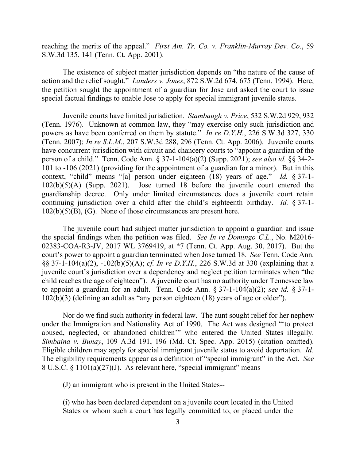reaching the merits of the appeal." *First Am. Tr. Co. v. Franklin-Murray Dev. Co.*, 59 S.W.3d 135, 141 (Tenn. Ct. App. 2001).

The existence of subject matter jurisdiction depends on "the nature of the cause of action and the relief sought." *Landers v. Jones*, 872 S.W.2d 674, 675 (Tenn. 1994). Here, the petition sought the appointment of a guardian for Jose and asked the court to issue special factual findings to enable Jose to apply for special immigrant juvenile status.

Juvenile courts have limited jurisdiction. *Stambaugh v. Price*, 532 S.W.2d 929, 932 (Tenn. 1976). Unknown at common law, they "may exercise only such jurisdiction and powers as have been conferred on them by statute." *In re D.Y.H.*, 226 S.W.3d 327, 330 (Tenn. 2007); *In re S.L.M.*, 207 S.W.3d 288, 296 (Tenn. Ct. App. 2006). Juvenile courts have concurrent jurisdiction with circuit and chancery courts to "appoint a guardian of the person of a child." Tenn. Code Ann. § 37-1-104(a)(2) (Supp. 2021); *see also id.* §§ 34-2- 101 to -106 (2021) (providing for the appointment of a guardian for a minor). But in this context, "child" means "[a] person under eighteen (18) years of age." *Id.* § 37-1- 102(b)(5)(A) (Supp. 2021). Jose turned 18 before the juvenile court entered the guardianship decree. Only under limited circumstances does a juvenile court retain continuing jurisdiction over a child after the child's eighteenth birthday. *Id.* § 37-1-  $102(b)(5)(B)$ , (G). None of those circumstances are present here.

The juvenile court had subject matter jurisdiction to appoint a guardian and issue the special findings when the petition was filed. *See In re Domingo C.L.*, No. M2016- 02383-COA-R3-JV, 2017 WL 3769419, at \*7 (Tenn. Ct. App. Aug. 30, 2017). But the court's power to appoint a guardian terminated when Jose turned 18. *See* Tenn. Code Ann. §§ 37-1-104(a)(2), -102(b)(5)(A); *cf. In re D.Y.H.*, 226 S.W.3d at 330 (explaining that a juvenile court's jurisdiction over a dependency and neglect petition terminates when "the child reaches the age of eighteen"). A juvenile court has no authority under Tennessee law to appoint a guardian for an adult. Tenn. Code Ann. § 37-1-104(a)(2); *see id.* § 37-1- 102(b)(3) (defining an adult as "any person eighteen (18) years of age or older").

Nor do we find such authority in federal law. The aunt sought relief for her nephew under the Immigration and Nationality Act of 1990. The Act was designed "'to protect abused, neglected, or abandoned children'" who entered the United States illegally. *Simbaina v. Bunay*, 109 A.3d 191, 196 (Md. Ct. Spec. App. 2015) (citation omitted). Eligible children may apply for special immigrant juvenile status to avoid deportation. *Id.* The eligibility requirements appear as a definition of "special immigrant" in the Act. *See* 8 U.S.C. § 1101(a)(27)(J). As relevant here, "special immigrant" means

(J) an immigrant who is present in the United States--

(i) who has been declared dependent on a juvenile court located in the United States or whom such a court has legally committed to, or placed under the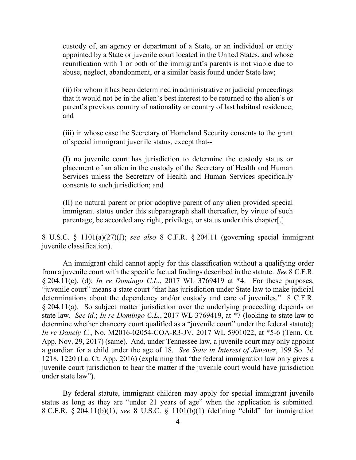custody of, an agency or department of a State, or an individual or entity appointed by a State or juvenile court located in the United States, and whose reunification with 1 or both of the immigrant's parents is not viable due to abuse, neglect, abandonment, or a similar basis found under State law;

(ii) for whom it has been determined in administrative or judicial proceedings that it would not be in the alien's best interest to be returned to the alien's or parent's previous country of nationality or country of last habitual residence; and

(iii) in whose case the Secretary of Homeland Security consents to the grant of special immigrant juvenile status, except that--

(I) no juvenile court has jurisdiction to determine the custody status or placement of an alien in the custody of the Secretary of Health and Human Services unless the Secretary of Health and Human Services specifically consents to such jurisdiction; and

(II) no natural parent or prior adoptive parent of any alien provided special immigrant status under this subparagraph shall thereafter, by virtue of such parentage, be accorded any right, privilege, or status under this chapter[.]

8 U.S.C. § 1101(a)(27)(J); *see also* 8 C.F.R. § 204.11 (governing special immigrant juvenile classification).

An immigrant child cannot apply for this classification without a qualifying order from a juvenile court with the specific factual findings described in the statute. *See* 8 C.F.R. § 204.11(c), (d); *In re Domingo C.L.*, 2017 WL 3769419 at \*4. For these purposes, "juvenile court" means a state court "that has jurisdiction under State law to make judicial determinations about the dependency and/or custody and care of juveniles." 8 C.F.R. § 204.11(a). So subject matter jurisdiction over the underlying proceeding depends on state law. *See id.*; *In re Domingo C.L.*, 2017 WL 3769419, at \*7 (looking to state law to determine whether chancery court qualified as a "juvenile court" under the federal statute); *In re Danely C.*, No. M2016-02054-COA-R3-JV, 2017 WL 5901022, at \*5-6 (Tenn. Ct. App. Nov. 29, 2017) (same). And, under Tennessee law, a juvenile court may only appoint a guardian for a child under the age of 18. *See State in Interest of Jimenez*, 199 So. 3d 1218, 1220 (La. Ct. App. 2016) (explaining that "the federal immigration law only gives a juvenile court jurisdiction to hear the matter if the juvenile court would have jurisdiction under state law").

By federal statute, immigrant children may apply for special immigrant juvenile status as long as they are "under 21 years of age" when the application is submitted. 8 C.F.R. § 204.11(b)(1); *see* 8 U.S.C. § 1101(b)(1) (defining "child" for immigration